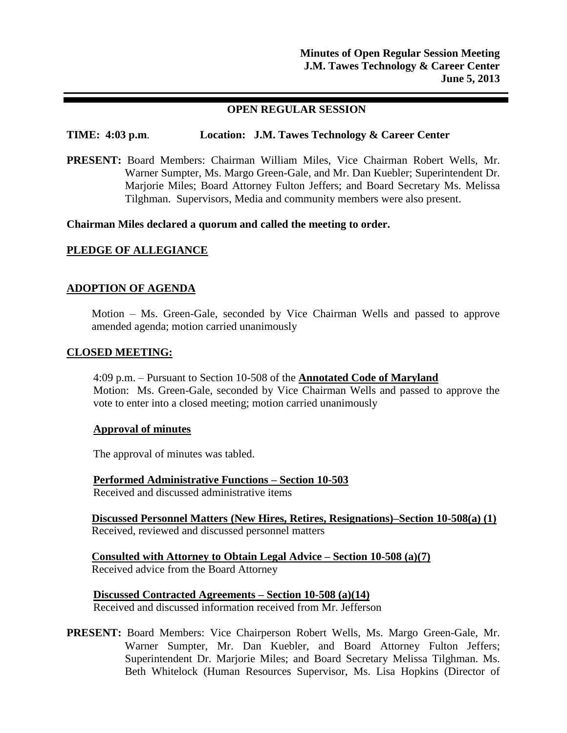# **OPEN REGULAR SESSION**

# **TIME: 4:03 p.m**. **Location: J.M. Tawes Technology & Career Center**

**PRESENT:** Board Members: Chairman William Miles, Vice Chairman Robert Wells, Mr. Warner Sumpter, Ms. Margo Green-Gale, and Mr. Dan Kuebler; Superintendent Dr. Marjorie Miles; Board Attorney Fulton Jeffers; and Board Secretary Ms. Melissa Tilghman. Supervisors, Media and community members were also present.

### **Chairman Miles declared a quorum and called the meeting to order.**

# **PLEDGE OF ALLEGIANCE**

# **ADOPTION OF AGENDA**

Motion – Ms. Green-Gale, seconded by Vice Chairman Wells and passed to approve amended agenda; motion carried unanimously

### **CLOSED MEETING:**

4:09 p.m. – Pursuant to Section 10-508 of the **Annotated Code of Maryland** Motion: Ms. Green-Gale, seconded by Vice Chairman Wells and passed to approve the vote to enter into a closed meeting; motion carried unanimously

#### **Approval of minutes**

The approval of minutes was tabled.

**Performed Administrative Functions – Section 10-503** Received and discussed administrative items

**Discussed Personnel Matters (New Hires, Retires, Resignations)–Section 10-508(a) (1)** Received, reviewed and discussed personnel matters

**Consulted with Attorney to Obtain Legal Advice – Section 10-508 (a)(7)** Received advice from the Board Attorney

**Discussed Contracted Agreements – Section 10-508 (a)(14)** Received and discussed information received from Mr. Jefferson

**PRESENT:** Board Members: Vice Chairperson Robert Wells, Ms. Margo Green-Gale, Mr. Warner Sumpter, Mr. Dan Kuebler, and Board Attorney Fulton Jeffers; Superintendent Dr. Marjorie Miles; and Board Secretary Melissa Tilghman. Ms. Beth Whitelock (Human Resources Supervisor, Ms. Lisa Hopkins (Director of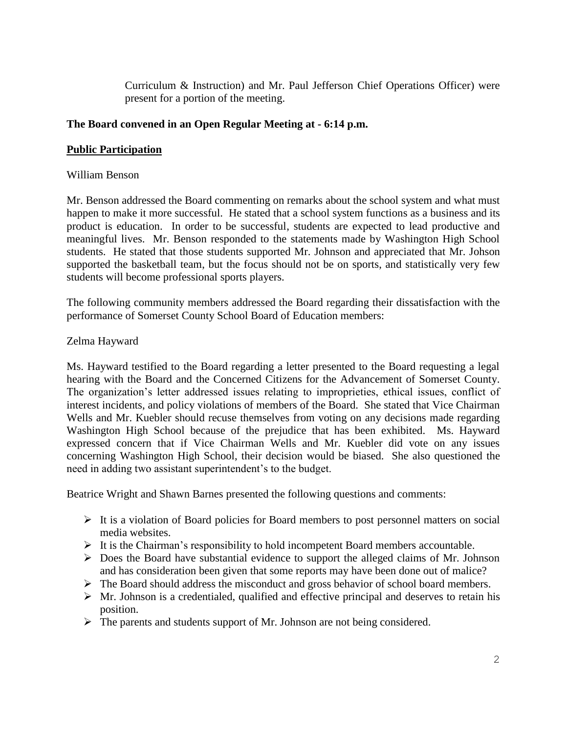Curriculum & Instruction) and Mr. Paul Jefferson Chief Operations Officer) were present for a portion of the meeting.

# **The Board convened in an Open Regular Meeting at - 6:14 p.m.**

# **Public Participation**

# William Benson

Mr. Benson addressed the Board commenting on remarks about the school system and what must happen to make it more successful. He stated that a school system functions as a business and its product is education. In order to be successful, students are expected to lead productive and meaningful lives. Mr. Benson responded to the statements made by Washington High School students. He stated that those students supported Mr. Johnson and appreciated that Mr. Johson supported the basketball team, but the focus should not be on sports, and statistically very few students will become professional sports players.

The following community members addressed the Board regarding their dissatisfaction with the performance of Somerset County School Board of Education members:

# Zelma Hayward

Ms. Hayward testified to the Board regarding a letter presented to the Board requesting a legal hearing with the Board and the Concerned Citizens for the Advancement of Somerset County. The organization's letter addressed issues relating to improprieties, ethical issues, conflict of interest incidents, and policy violations of members of the Board. She stated that Vice Chairman Wells and Mr. Kuebler should recuse themselves from voting on any decisions made regarding Washington High School because of the prejudice that has been exhibited. Ms. Hayward expressed concern that if Vice Chairman Wells and Mr. Kuebler did vote on any issues concerning Washington High School, their decision would be biased. She also questioned the need in adding two assistant superintendent's to the budget.

Beatrice Wright and Shawn Barnes presented the following questions and comments:

- $\triangleright$  It is a violation of Board policies for Board members to post personnel matters on social media websites.
- $\triangleright$  It is the Chairman's responsibility to hold incompetent Board members accountable.
- $\triangleright$  Does the Board have substantial evidence to support the alleged claims of Mr. Johnson and has consideration been given that some reports may have been done out of malice?
- The Board should address the misconduct and gross behavior of school board members.
- $\triangleright$  Mr. Johnson is a credentialed, qualified and effective principal and deserves to retain his position.
- $\triangleright$  The parents and students support of Mr. Johnson are not being considered.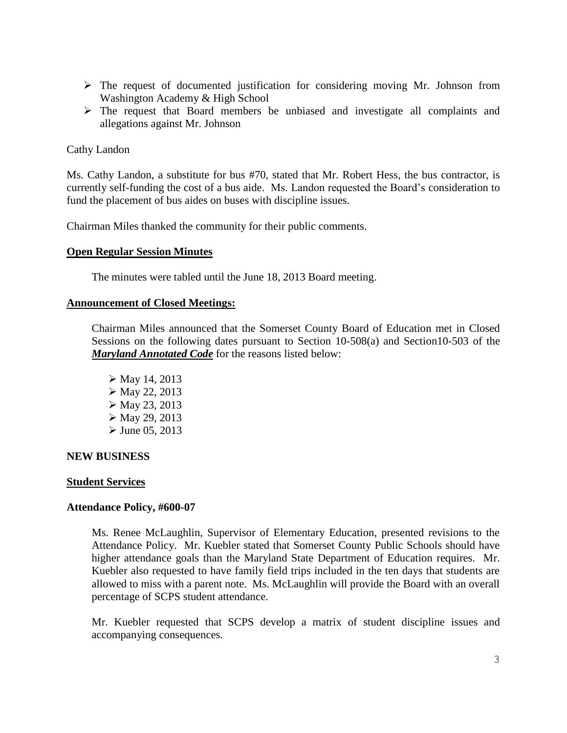- $\triangleright$  The request of documented justification for considering moving Mr. Johnson from Washington Academy & High School
- The request that Board members be unbiased and investigate all complaints and allegations against Mr. Johnson

# Cathy Landon

Ms. Cathy Landon, a substitute for bus #70, stated that Mr. Robert Hess, the bus contractor, is currently self-funding the cost of a bus aide. Ms. Landon requested the Board's consideration to fund the placement of bus aides on buses with discipline issues.

Chairman Miles thanked the community for their public comments.

### **Open Regular Session Minutes**

The minutes were tabled until the June 18, 2013 Board meeting.

#### **Announcement of Closed Meetings:**

Chairman Miles announced that the Somerset County Board of Education met in Closed Sessions on the following dates pursuant to Section 10-508(a) and Section10-503 of the *Maryland Annotated Code* for the reasons listed below:

 $\triangleright$  May 14, 2013  $\triangleright$  May 22, 2013  $\triangleright$  May 23, 2013  $\triangleright$  May 29, 2013  $\triangleright$  June 05, 2013

#### **NEW BUSINESS**

#### **Student Services**

# **Attendance Policy, #600-07**

Ms. Renee McLaughlin, Supervisor of Elementary Education, presented revisions to the Attendance Policy. Mr. Kuebler stated that Somerset County Public Schools should have higher attendance goals than the Maryland State Department of Education requires. Mr. Kuebler also requested to have family field trips included in the ten days that students are allowed to miss with a parent note. Ms. McLaughlin will provide the Board with an overall percentage of SCPS student attendance.

Mr. Kuebler requested that SCPS develop a matrix of student discipline issues and accompanying consequences.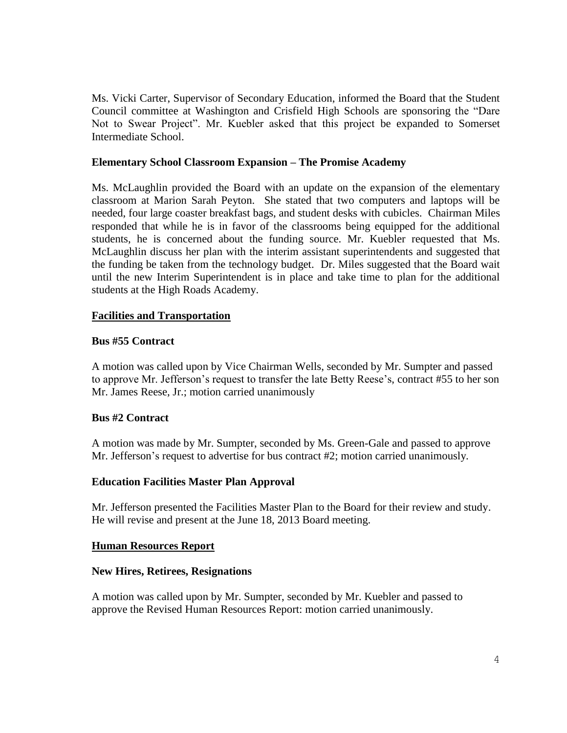Ms. Vicki Carter, Supervisor of Secondary Education, informed the Board that the Student Council committee at Washington and Crisfield High Schools are sponsoring the "Dare Not to Swear Project". Mr. Kuebler asked that this project be expanded to Somerset Intermediate School.

### **Elementary School Classroom Expansion – The Promise Academy**

Ms. McLaughlin provided the Board with an update on the expansion of the elementary classroom at Marion Sarah Peyton. She stated that two computers and laptops will be needed, four large coaster breakfast bags, and student desks with cubicles. Chairman Miles responded that while he is in favor of the classrooms being equipped for the additional students, he is concerned about the funding source. Mr. Kuebler requested that Ms. McLaughlin discuss her plan with the interim assistant superintendents and suggested that the funding be taken from the technology budget. Dr. Miles suggested that the Board wait until the new Interim Superintendent is in place and take time to plan for the additional students at the High Roads Academy.

### **Facilities and Transportation**

### **Bus #55 Contract**

A motion was called upon by Vice Chairman Wells, seconded by Mr. Sumpter and passed to approve Mr. Jefferson's request to transfer the late Betty Reese's, contract #55 to her son Mr. James Reese, Jr.; motion carried unanimously

# **Bus #2 Contract**

A motion was made by Mr. Sumpter, seconded by Ms. Green-Gale and passed to approve Mr. Jefferson's request to advertise for bus contract #2; motion carried unanimously.

#### **Education Facilities Master Plan Approval**

Mr. Jefferson presented the Facilities Master Plan to the Board for their review and study. He will revise and present at the June 18, 2013 Board meeting.

#### **Human Resources Report**

#### **New Hires, Retirees, Resignations**

A motion was called upon by Mr. Sumpter, seconded by Mr. Kuebler and passed to approve the Revised Human Resources Report: motion carried unanimously.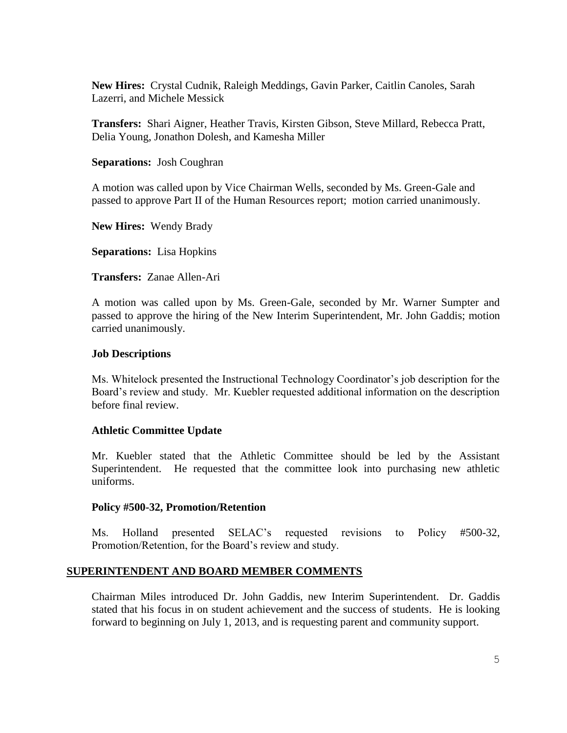**New Hires:** Crystal Cudnik, Raleigh Meddings, Gavin Parker, Caitlin Canoles, Sarah Lazerri, and Michele Messick

**Transfers:** Shari Aigner, Heather Travis, Kirsten Gibson, Steve Millard, Rebecca Pratt, Delia Young, Jonathon Dolesh, and Kamesha Miller

**Separations:** Josh Coughran

A motion was called upon by Vice Chairman Wells, seconded by Ms. Green-Gale and passed to approve Part II of the Human Resources report; motion carried unanimously.

**New Hires:** Wendy Brady

**Separations:** Lisa Hopkins

**Transfers:** Zanae Allen-Ari

A motion was called upon by Ms. Green-Gale, seconded by Mr. Warner Sumpter and passed to approve the hiring of the New Interim Superintendent, Mr. John Gaddis; motion carried unanimously.

### **Job Descriptions**

Ms. Whitelock presented the Instructional Technology Coordinator's job description for the Board's review and study. Mr. Kuebler requested additional information on the description before final review.

# **Athletic Committee Update**

Mr. Kuebler stated that the Athletic Committee should be led by the Assistant Superintendent. He requested that the committee look into purchasing new athletic uniforms.

#### **Policy #500-32, Promotion/Retention**

Ms. Holland presented SELAC's requested revisions to Policy #500-32, Promotion/Retention, for the Board's review and study.

# **SUPERINTENDENT AND BOARD MEMBER COMMENTS**

Chairman Miles introduced Dr. John Gaddis, new Interim Superintendent. Dr. Gaddis stated that his focus in on student achievement and the success of students. He is looking forward to beginning on July 1, 2013, and is requesting parent and community support.